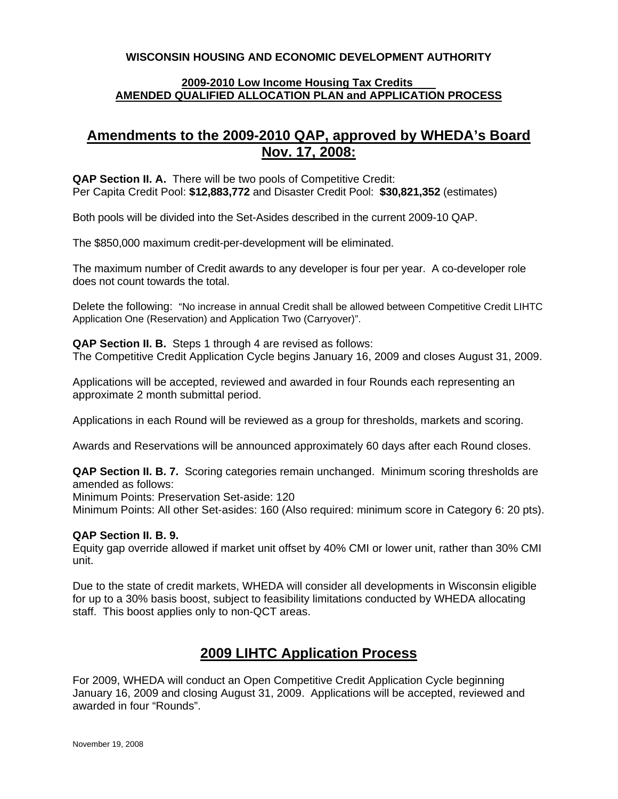### **WISCONSIN HOUSING AND ECONOMIC DEVELOPMENT AUTHORITY**

#### **2009-2010 Low Income Housing Tax Credits AMENDED QUALIFIED ALLOCATION PLAN and APPLICATION PROCESS**

## **Amendments to the 2009-2010 QAP, approved by WHEDA's Board Nov. 17, 2008:**

**QAP Section II. A.** There will be two pools of Competitive Credit: Per Capita Credit Pool: **\$12,883,772** and Disaster Credit Pool: **\$30,821,352** (estimates)

Both pools will be divided into the Set-Asides described in the current 2009-10 QAP.

The \$850,000 maximum credit-per-development will be eliminated.

The maximum number of Credit awards to any developer is four per year. A co-developer role does not count towards the total.

Delete the following: "No increase in annual Credit shall be allowed between Competitive Credit LIHTC Application One (Reservation) and Application Two (Carryover)".

**QAP Section II. B.** Steps 1 through 4 are revised as follows: The Competitive Credit Application Cycle begins January 16, 2009 and closes August 31, 2009.

Applications will be accepted, reviewed and awarded in four Rounds each representing an approximate 2 month submittal period.

Applications in each Round will be reviewed as a group for thresholds, markets and scoring.

Awards and Reservations will be announced approximately 60 days after each Round closes.

**QAP Section II. B. 7.** Scoring categories remain unchanged. Minimum scoring thresholds are amended as follows:

Minimum Points: Preservation Set-aside: 120

Minimum Points: All other Set-asides: 160 (Also required: minimum score in Category 6: 20 pts).

#### **QAP Section II. B. 9.**

Equity gap override allowed if market unit offset by 40% CMI or lower unit, rather than 30% CMI unit.

Due to the state of credit markets, WHEDA will consider all developments in Wisconsin eligible for up to a 30% basis boost, subject to feasibility limitations conducted by WHEDA allocating staff. This boost applies only to non-QCT areas.

# **2009 LIHTC Application Process**

For 2009, WHEDA will conduct an Open Competitive Credit Application Cycle beginning January 16, 2009 and closing August 31, 2009. Applications will be accepted, reviewed and awarded in four "Rounds".